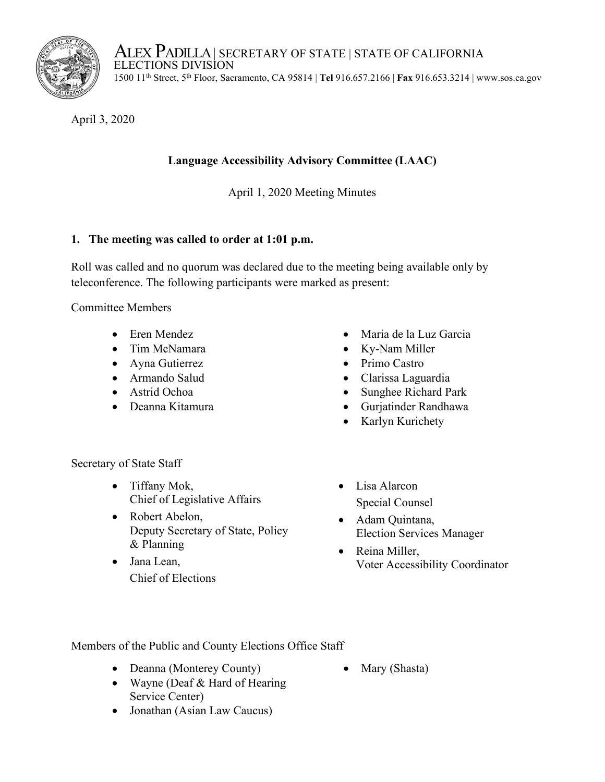

ALEX PADILLA | SECRETARY OF STATE | STATE OF CALIFORNIA<br>ELECTIONS DIVISION 1500 11th Street, 5th Floor, Sacramento, CA 95814 | **Tel** 916.657.2166 | **Fax** 916.653.3214 | www.sos.ca.gov

April 3, 2020

# **Language Accessibility Advisory Committee (LAAC)**

April 1, 2020 Meeting Minutes

## **1. The meeting was called to order at 1:01 p.m.**

Roll was called and no quorum was declared due to the meeting being available only by teleconference. The following participants were marked as present:

Committee Members

- 
- Tim McNamara Ky-Nam Miller
- Ayna Gutierrez Primo Castro
- 
- 
- 
- Eren Mendez Maria de la Luz Garcia
	-
	-
- Armando Salud Clarissa Laguardia
- Astrid Ochoa Sunghee Richard Park
- Deanna Kitamura Gurjatinder Randhawa
	- Karlyn Kurichety

Secretary of State Staff

- Tiffany Mok, Chief of Legislative Affairs
- Robert Abelon, Deputy Secretary of State, Policy & Planning
- Jana Lean, Chief of Elections
- Lisa Alarcon Special Counsel
- Adam Quintana, Election Services Manager
- Reina Miller, Voter Accessibility Coordinator

Members of the Public and County Elections Office Staff

- Deanna (Monterey County)
- Mary (Shasta)
- Wayne (Deaf & Hard of Hearing Service Center)
- Jonathan (Asian Law Caucus)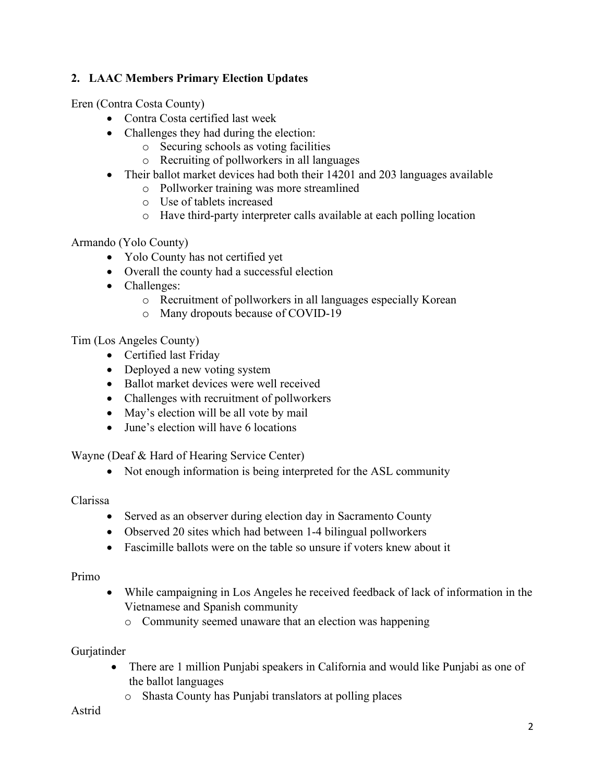## **2. LAAC Members Primary Election Updates**

Eren (Contra Costa County)

- Contra Costa certified last week
- Challenges they had during the election:
	- o Securing schools as voting facilities
	- o Recruiting of pollworkers in all languages
- Their ballot market devices had both their 14201 and 203 languages available
	- o Pollworker training was more streamlined
	- o Use of tablets increased
	- o Have third-party interpreter calls available at each polling location

Armando (Yolo County)

- Yolo County has not certified yet
- Overall the county had a successful election
- Challenges:
	- o Recruitment of pollworkers in all languages especially Korean
	- o Many dropouts because of COVID-19

Tim (Los Angeles County)

- Certified last Friday
- Deployed a new voting system
- Ballot market devices were well received
- Challenges with recruitment of pollworkers
- May's election will be all vote by mail
- June's election will have 6 locations

Wayne (Deaf & Hard of Hearing Service Center)

• Not enough information is being interpreted for the ASL community

### Clarissa

- Served as an observer during election day in Sacramento County
- Observed 20 sites which had between 1-4 bilingual pollworkers
- Fascimille ballots were on the table so unsure if voters knew about it

### Primo

- While campaigning in Los Angeles he received feedback of lack of information in the Vietnamese and Spanish community
	- o Community seemed unaware that an election was happening

### Gurjatinder

- There are 1 million Punjabi speakers in California and would like Punjabi as one of the ballot languages
	- o Shasta County has Punjabi translators at polling places

#### Astrid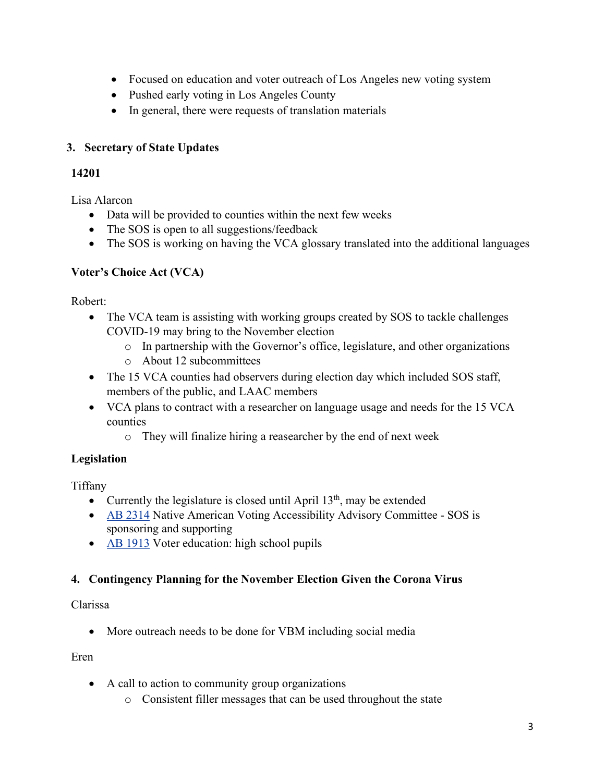- Focused on education and voter outreach of Los Angeles new voting system
- Pushed early voting in Los Angeles County
- In general, there were requests of translation materials

## **3. Secretary of State Updates**

## **14201**

Lisa Alarcon

- Data will be provided to counties within the next few weeks
- The SOS is open to all suggestions/feedback
- The SOS is working on having the VCA glossary translated into the additional languages

## **Voter's Choice Act (VCA)**

Robert:

- The VCA team is assisting with working groups created by SOS to tackle challenges COVID-19 may bring to the November election
	- o In partnership with the Governor's office, legislature, and other organizations
	- o About 12 subcommittees
- The 15 VCA counties had observers during election day which included SOS staff, members of the public, and LAAC members
- VCA plans to contract with a researcher on language usage and needs for the 15 VCA counties
	- o They will finalize hiring a reasearcher by the end of next week

## **Legislation**

Tiffany

- Currently the legislature is closed until April  $13<sup>th</sup>$ , may be extended
- [AB 2314](http://leginfo.legislature.ca.gov/faces/billTextClient.xhtml?bill_id=201920200AB2314) Native American Voting Accessibility Advisory Committee SOS is sponsoring and supporting
- [AB 1913](http://leginfo.legislature.ca.gov/faces/billTextClient.xhtml?bill_id=201920200AB1913) Voter education: high school pupils

## **4. Contingency Planning for the November Election Given the Corona Virus**

Clarissa

• More outreach needs to be done for VBM including social media

Eren

- A call to action to community group organizations
	- o Consistent filler messages that can be used throughout the state